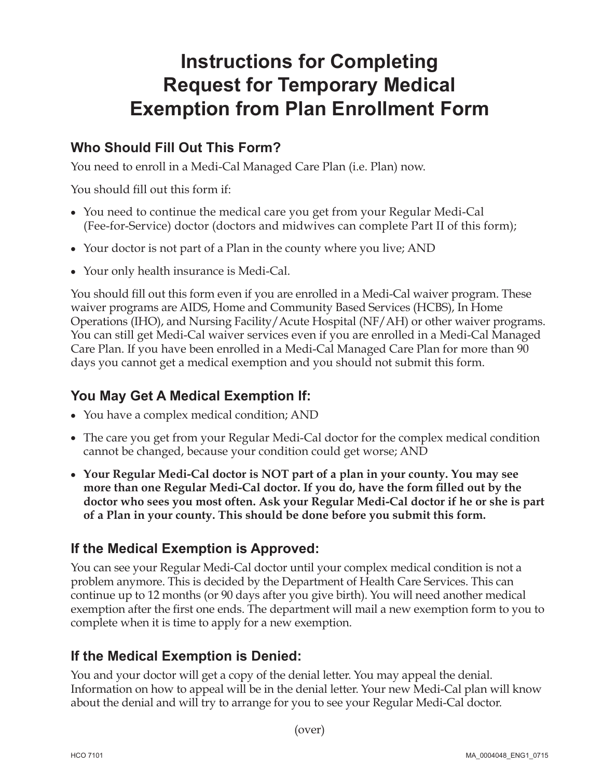# **Instructions for Completing Request for Temporary Medical Exemption from Plan Enrollment Form**

### **Who Should Fill Out This Form?**

You need to enroll in a Medi-Cal Managed Care Plan (i.e. Plan) now.

You should fill out this form if:

- **•**  You need to continue the medical care you get from your Regular Medi-Cal (Fee-for-Service) doctor (doctors and midwives can complete Part II of this form);
- Your doctor is not part of a Plan in the county where you live; AND
- Your only health insurance is Medi-Cal.

You should fill out this form even if you are enrolled in a Medi-Cal waiver program. These waiver programs are AIDS, Home and Community Based Services (HCBS), In Home Operations (IHO), and Nursing Facility/Acute Hospital (NF/AH) or other waiver programs. You can still get Medi-Cal waiver services even if you are enrolled in a Medi-Cal Managed Care Plan. If you have been enrolled in a Medi-Cal Managed Care Plan for more than 90 days you cannot get a medical exemption and you should not submit this form.

### **You May Get A Medical Exemption If:**

- You have a complex medical condition; AND
- The care you get from your Regular Medi-Cal doctor for the complex medical condition cannot be changed, because your condition could get worse; AND
- **• Your Regular Medi-Cal doctor is NOT part of a plan in your county. You may see more than one Regular Medi-Cal doctor. If you do, have the form filled out by the doctor who sees you most often. Ask your Regular Medi-Cal doctor if he or she is part of a Plan in your county. This should be done before you submit this form.**

## **If the Medical Exemption is Approved:**

 complete when it is time to apply for a new exemption. You can see your Regular Medi-Cal doctor until your complex medical condition is not a problem anymore. This is decided by the Department of Health Care Services. This can continue up to 12 months (or 90 days after you give birth). You will need another medical exemption after the first one ends. The department will mail a new exemption form to you to

### **If the Medical Exemption is Denied:**

You and your doctor will get a copy of the denial letter. You may appeal the denial. Information on how to appeal will be in the denial letter. Your new Medi-Cal plan will know about the denial and will try to arrange for you to see your Regular Medi-Cal doctor.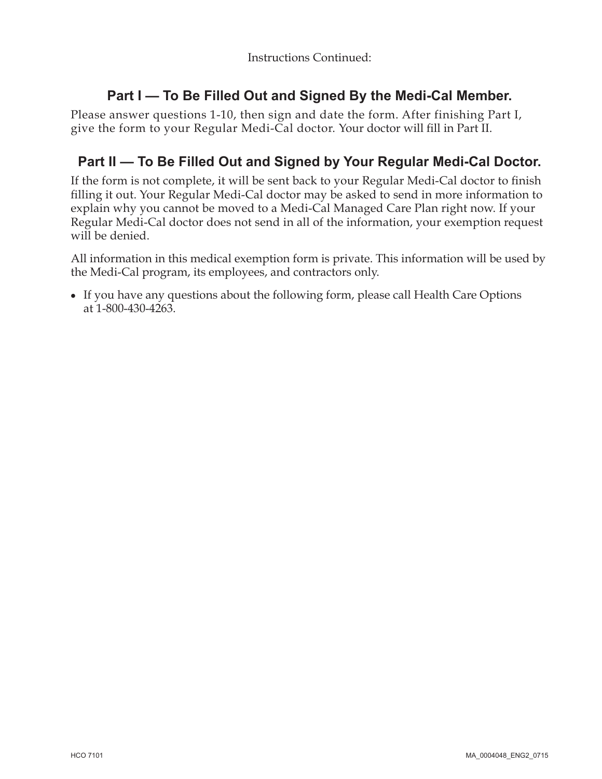### **Part I — To Be Filled Out and Signed By the Medi-Cal Member.**

 give the form to your Regular Medi-Cal doctor. Your doctor will fill in Part II. Please answer questions 1-10, then sign and date the form. After finishing Part I,

### **Part II — To Be Filled Out and Signed by Your Regular Medi-Cal Doctor.**

If the form is not complete, it will be sent back to your Regular Medi-Cal doctor to finish filling it out. Your Regular Medi-Cal doctor may be asked to send in more information to explain why you cannot be moved to a Medi-Cal Managed Care Plan right now. If your Regular Medi-Cal doctor does not send in all of the information, your exemption request will be denied.

All information in this medical exemption form is private. This information will be used by the Medi-Cal program, its employees, and contractors only.

• If you have any questions about the following form, please call Health Care Options at 1-800-430-4263.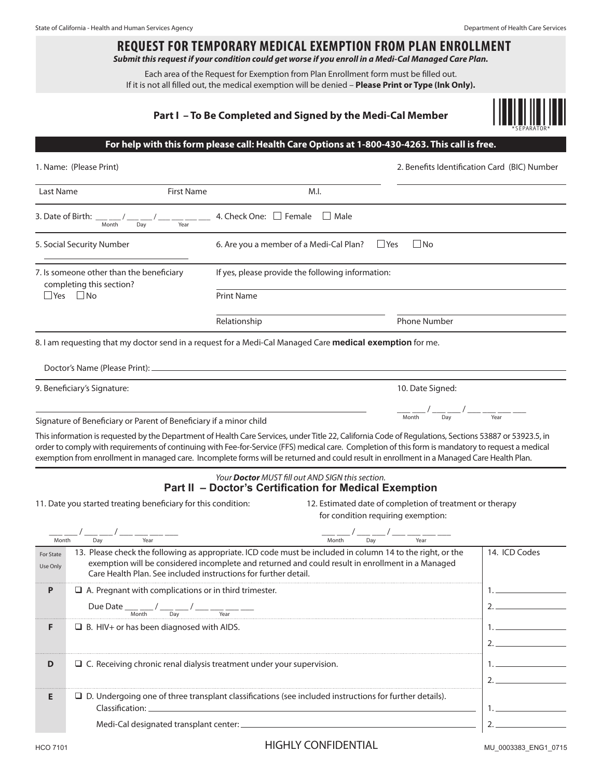# **REQUEST FOR TEMPORARY MEDICAL EXEMPTION FROM PLAN ENROLLMENT**

*Submit this request if your condition could get worse if you enroll in a Medi-Cal Managed Care Plan.* 

Each area of the Request for Exemption from Plan Enrollment form must be filled out. If it is not all filled out, the medical exemption will be denied – **Please Print or Type (Ink Only).** 

#### **Part I – To Be Completed and Signed by the Medi-Cal Member**



#### **For help with this form please call: Health Care Options at 1-800-430-4263. This call is free.**

|                                                                                              | 1. Name: (Please Print)                                                      | 2. Benefits Identification Card (BIC) Number |                                                                                                                                                                                                                                                                                                                                                                                                                                                            |                                                                                |                |  |
|----------------------------------------------------------------------------------------------|------------------------------------------------------------------------------|----------------------------------------------|------------------------------------------------------------------------------------------------------------------------------------------------------------------------------------------------------------------------------------------------------------------------------------------------------------------------------------------------------------------------------------------------------------------------------------------------------------|--------------------------------------------------------------------------------|----------------|--|
| Last Name                                                                                    |                                                                              | <b>First Name</b>                            | M.I.                                                                                                                                                                                                                                                                                                                                                                                                                                                       |                                                                                |                |  |
|                                                                                              | 3. Date of Birth: $\frac{1}{\text{Month}}$ /<br>$\frac{1}{\text{Day}}$       | Year                                         | 4. Check One: $\Box$ Female $\Box$ Male                                                                                                                                                                                                                                                                                                                                                                                                                    |                                                                                |                |  |
| 5. Social Security Number                                                                    |                                                                              |                                              | $\Box$ No<br>$\Box$ Yes<br>6. Are you a member of a Medi-Cal Plan?                                                                                                                                                                                                                                                                                                                                                                                         |                                                                                |                |  |
| 7. Is someone other than the beneficiary<br>completing this section?<br>$\Box$ Yes $\Box$ No |                                                                              |                                              | If yes, please provide the following information:                                                                                                                                                                                                                                                                                                                                                                                                          |                                                                                |                |  |
|                                                                                              |                                                                              |                                              | <b>Print Name</b>                                                                                                                                                                                                                                                                                                                                                                                                                                          |                                                                                |                |  |
|                                                                                              |                                                                              |                                              | Relationship                                                                                                                                                                                                                                                                                                                                                                                                                                               | <b>Phone Number</b>                                                            |                |  |
|                                                                                              |                                                                              |                                              | 8. I am requesting that my doctor send in a request for a Medi-Cal Managed Care medical exemption for me.                                                                                                                                                                                                                                                                                                                                                  |                                                                                |                |  |
|                                                                                              |                                                                              |                                              |                                                                                                                                                                                                                                                                                                                                                                                                                                                            |                                                                                |                |  |
|                                                                                              | 9. Beneficiary's Signature:                                                  | 10. Date Signed:                             |                                                                                                                                                                                                                                                                                                                                                                                                                                                            |                                                                                |                |  |
|                                                                                              |                                                                              |                                              |                                                                                                                                                                                                                                                                                                                                                                                                                                                            | $-\frac{1}{\text{Month}}$ / $-\frac{1}{\text{Day}}$ / $-\frac{1}{\text{Year}}$ |                |  |
|                                                                                              | Signature of Beneficiary or Parent of Beneficiary if a minor child           |                                              |                                                                                                                                                                                                                                                                                                                                                                                                                                                            |                                                                                |                |  |
|                                                                                              |                                                                              |                                              | This information is requested by the Department of Health Care Services, under Title 22, California Code of Regulations, Sections 53887 or 53923.5, in<br>order to comply with requirements of continuing with Fee-for-Service (FFS) medical care. Completion of this form is mandatory to request a medical<br>exemption from enrollment in managed care. Incomplete forms will be returned and could result in enrollment in a Managed Care Health Plan. |                                                                                |                |  |
|                                                                                              |                                                                              |                                              | Your <b>Doctor</b> MUST fill out AND SIGN this section.<br>Part II - Doctor's Certification for Medical Exemption                                                                                                                                                                                                                                                                                                                                          |                                                                                |                |  |
|                                                                                              | 11. Date you started treating beneficiary for this condition:                |                                              | 12. Estimated date of completion of treatment or therapy<br>for condition requiring exemption:                                                                                                                                                                                                                                                                                                                                                             |                                                                                |                |  |
| Month                                                                                        | Day                                                                          |                                              | $\frac{1}{\sqrt{2}}$ $\frac{1}{\sqrt{2}}$ $\frac{1}{\sqrt{2}}$ $\frac{1}{\sqrt{2}}$<br>$\frac{1}{\sqrt{2}}$ Month                                                                                                                                                                                                                                                                                                                                          | $\frac{1}{\sqrt{2}}$ $\frac{1}{\sqrt{2}}$                                      |                |  |
| For State<br>Use Only                                                                        |                                                                              |                                              | 13. Please check the following as appropriate. ICD code must be included in column 14 to the right, or the<br>exemption will be considered incomplete and returned and could result in enrollment in a Managed<br>Care Health Plan. See included instructions for further detail.                                                                                                                                                                          |                                                                                | 14. ICD Codes  |  |
| P                                                                                            | $\Box$ A. Pregnant with complications or in third trimester.                 |                                              |                                                                                                                                                                                                                                                                                                                                                                                                                                                            |                                                                                |                |  |
|                                                                                              | Due Date ___ __ / ___ __ / _<br>Month                                        | Day                                          | Year                                                                                                                                                                                                                                                                                                                                                                                                                                                       |                                                                                | $\overline{ }$ |  |
| F                                                                                            | $\Box$ B. HIV+ or has been diagnosed with AIDS.                              |                                              |                                                                                                                                                                                                                                                                                                                                                                                                                                                            |                                                                                | $1_{\cdot}$    |  |
|                                                                                              |                                                                              |                                              |                                                                                                                                                                                                                                                                                                                                                                                                                                                            |                                                                                | $2.$ $-$       |  |
| D                                                                                            | $\Box$ C. Receiving chronic renal dialysis treatment under your supervision. |                                              |                                                                                                                                                                                                                                                                                                                                                                                                                                                            |                                                                                | 1.             |  |
|                                                                                              |                                                                              |                                              |                                                                                                                                                                                                                                                                                                                                                                                                                                                            |                                                                                | $2. -$         |  |
| Е                                                                                            | Classification:                                                              |                                              | $\square$ D. Undergoing one of three transplant classifications (see included instructions for further details).                                                                                                                                                                                                                                                                                                                                           |                                                                                | 1.             |  |
|                                                                                              |                                                                              |                                              |                                                                                                                                                                                                                                                                                                                                                                                                                                                            |                                                                                | 2.             |  |
|                                                                                              |                                                                              |                                              |                                                                                                                                                                                                                                                                                                                                                                                                                                                            |                                                                                |                |  |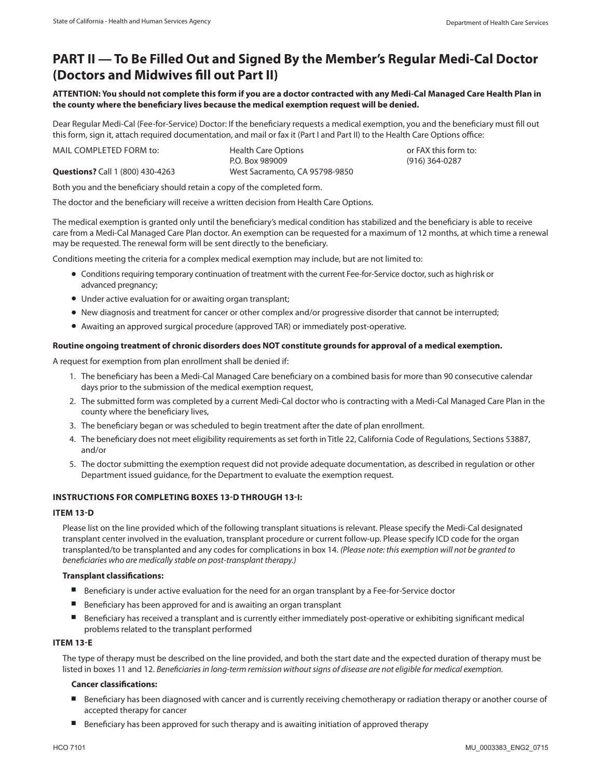### **PART II — To Be Filled Out and Signed By the Member's Regular Medi-Cal Doctor (Doctors and Midwives fill out Part II)**

**ATTENTION: You should not complete this form if you are a doctor contracted with any Medi-Cal Managed Care Health Plan in the county where the beneficiary lives because the medical exemption request will be denied.** 

Dear Regular Medi-Cal (Fee-for-Service) Doctor: If the beneficiary requests a medical exemption, you and the beneficiary must fill out this form, sign it, attach required documentation, and mail or fax it (Part I and Part II) to the Health Care Options office:

MAIL COMPLETED FORM to: **Health Care Options or FAX this form to: http:// Questions?** Call 1 (800) 430-4263 West Sacramento, CA 95798-9850 P.O. Box 989009 (916) 364-0287

Both you and the beneficiary should retain a copy of the completed form.

The doctor and the beneficiary will receive a written decision from Health Care Options.

The medical exemption is granted only until the beneficiary's medical condition has stabilized and the beneficiary is able to receive care from a Medi-Cal Managed Care Plan doctor. An exemption can be requested for a maximum of 12 months, at which time a renewal may be requested. The renewal form will be sent directly to the beneficiary.

Conditions meeting the criteria for a complex medical exemption may include, but are not limited to:

- Conditions requiring temporary continuation of treatment with the current Fee-for-Service doctor, such as high risk or advanced pregnancy;
- Under active evaluation for or awaiting organ transplant;
- New diagnosis and treatment for cancer or other complex and/or progressive disorder that cannot be interrupted;
- Awaiting an approved surgical procedure (approved TAR) or immediately post-operative.

#### **Routine ongoing treatment of chronic disorders does NOT constitute grounds for approval of a medical exemption.**

A request for exemption from plan enrollment shall be denied if:

- 1. The beneficiary has been a Medi-Cal Managed Care beneficiary on a combined basis for more than 90 consecutive calendar days prior to the submission of the medical exemption request,
- 2. The submitted form was completed by a current Medi-Cal doctor who is contracting with a Medi-Cal Managed Care Plan in the county where the beneficiary lives,
- 3. The beneficiary began or was scheduled to begin treatment after the date of plan enrollment.
- 4. The beneficiary does not meet eligibility requirements as set forth in Title 22, California Code of Regulations, Sections 53887, and/or
- 5. The doctor submitting the exemption request did not provide adequate documentation, as described in regulation or other Department issued guidance, for the Department to evaluate the exemption request.

#### **INSTRUCTIONS FOR COMPLETING BOXES 13-D THROUGH 13-I:**

#### **ITEM 13-D**

Please list on the line provided which of the following transplant situations is relevant. Please specify the Medi-Cal designated transplant center involved in the evaluation, transplant procedure or current follow-up. Please specify ICD code for the organ transplanted/to be transplanted and any codes for complications in box 14. *(Please note: this exemption will not be granted to beneficiaries who are medically stable on post-transplant therapy.)* 

#### **Transplant classifications:**

- Beneficiary is under active evaluation for the need for an organ transplant by a Fee-for-Service doctor
- Beneficiary has been approved for and is awaiting an organ transplant
- Beneficiary has received a transplant and is currently either immediately post-operative or exhibiting significant medical problems related to the transplant performed

#### **ITEM 13-E**

The type of therapy must be described on the line provided, and both the start date and the expected duration of therapy must be listed in boxes 11 and 12. *Beneficiaries in long-term remission without signs of disease are not eligible for medical exemption.* 

#### **Cancer classifications:**

- Beneficiary has been diagnosed with cancer and is currently receiving chemotherapy or radiation therapy or another course of accepted therapy for cancer
- Beneficiary has been approved for such therapy and is awaiting initiation of approved therapy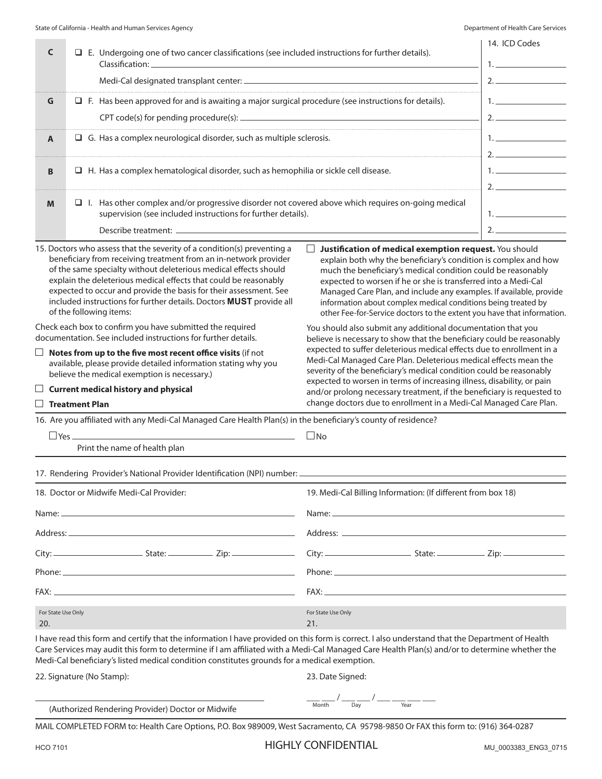| C                                                                                                                                                                                                                                                                                                           |                   |                                                                            | $\Box$ E. Undergoing one of two cancer classifications (see included instructions for further details).                                                                                                                                                                                                                                                                                                                                                    | 14. ICD Codes<br>1.                                                                                                                                                                                                                                                                                                                                                                                                                                                                                      |                                                                                                                                                                                                                                                                                                                                                                                                                                                                        |  |
|-------------------------------------------------------------------------------------------------------------------------------------------------------------------------------------------------------------------------------------------------------------------------------------------------------------|-------------------|----------------------------------------------------------------------------|------------------------------------------------------------------------------------------------------------------------------------------------------------------------------------------------------------------------------------------------------------------------------------------------------------------------------------------------------------------------------------------------------------------------------------------------------------|----------------------------------------------------------------------------------------------------------------------------------------------------------------------------------------------------------------------------------------------------------------------------------------------------------------------------------------------------------------------------------------------------------------------------------------------------------------------------------------------------------|------------------------------------------------------------------------------------------------------------------------------------------------------------------------------------------------------------------------------------------------------------------------------------------------------------------------------------------------------------------------------------------------------------------------------------------------------------------------|--|
|                                                                                                                                                                                                                                                                                                             |                   |                                                                            |                                                                                                                                                                                                                                                                                                                                                                                                                                                            | 2.                                                                                                                                                                                                                                                                                                                                                                                                                                                                                                       |                                                                                                                                                                                                                                                                                                                                                                                                                                                                        |  |
| G                                                                                                                                                                                                                                                                                                           |                   |                                                                            | $\Box$ F. Has been approved for and is awaiting a major surgical procedure (see instructions for details).                                                                                                                                                                                                                                                                                                                                                 |                                                                                                                                                                                                                                                                                                                                                                                                                                                                                                          | 1. <u>________________</u>                                                                                                                                                                                                                                                                                                                                                                                                                                             |  |
|                                                                                                                                                                                                                                                                                                             |                   |                                                                            | 2.                                                                                                                                                                                                                                                                                                                                                                                                                                                         |                                                                                                                                                                                                                                                                                                                                                                                                                                                                                                          |                                                                                                                                                                                                                                                                                                                                                                                                                                                                        |  |
| A                                                                                                                                                                                                                                                                                                           |                   | $\Box$ G. Has a complex neurological disorder, such as multiple sclerosis. |                                                                                                                                                                                                                                                                                                                                                                                                                                                            |                                                                                                                                                                                                                                                                                                                                                                                                                                                                                                          |                                                                                                                                                                                                                                                                                                                                                                                                                                                                        |  |
|                                                                                                                                                                                                                                                                                                             |                   |                                                                            |                                                                                                                                                                                                                                                                                                                                                                                                                                                            |                                                                                                                                                                                                                                                                                                                                                                                                                                                                                                          |                                                                                                                                                                                                                                                                                                                                                                                                                                                                        |  |
| $\Box$ H. Has a complex hematological disorder, such as hemophilia or sickle cell disease.<br>B                                                                                                                                                                                                             |                   |                                                                            |                                                                                                                                                                                                                                                                                                                                                                                                                                                            |                                                                                                                                                                                                                                                                                                                                                                                                                                                                                                          | $1.$ $\overline{\phantom{a}}$ $\overline{\phantom{a}}$ $\overline{\phantom{a}}$ $\overline{\phantom{a}}$ $\overline{\phantom{a}}$ $\overline{\phantom{a}}$ $\overline{\phantom{a}}$ $\overline{\phantom{a}}$ $\overline{\phantom{a}}$ $\overline{\phantom{a}}$ $\overline{\phantom{a}}$ $\overline{\phantom{a}}$ $\overline{\phantom{a}}$ $\overline{\phantom{a}}$ $\overline{\phantom{a}}$ $\overline{\phantom{a}}$ $\overline{\phantom{a}}$ $\overline{\phantom{a}}$ |  |
|                                                                                                                                                                                                                                                                                                             |                   |                                                                            |                                                                                                                                                                                                                                                                                                                                                                                                                                                            |                                                                                                                                                                                                                                                                                                                                                                                                                                                                                                          |                                                                                                                                                                                                                                                                                                                                                                                                                                                                        |  |
| M                                                                                                                                                                                                                                                                                                           |                   |                                                                            | $\Box$ I. Has other complex and/or progressive disorder not covered above which requires on-going medical<br>supervision (see included instructions for further details).                                                                                                                                                                                                                                                                                  |                                                                                                                                                                                                                                                                                                                                                                                                                                                                                                          |                                                                                                                                                                                                                                                                                                                                                                                                                                                                        |  |
|                                                                                                                                                                                                                                                                                                             |                   |                                                                            | Describe treatment: _______________                                                                                                                                                                                                                                                                                                                                                                                                                        |                                                                                                                                                                                                                                                                                                                                                                                                                                                                                                          |                                                                                                                                                                                                                                                                                                                                                                                                                                                                        |  |
|                                                                                                                                                                                                                                                                                                             |                   |                                                                            | 15. Doctors who assess that the severity of a condition(s) preventing a<br>beneficiary from receiving treatment from an in-network provider<br>of the same specialty without deleterious medical effects should<br>explain the deleterious medical effects that could be reasonably<br>expected to occur and provide the basis for their assessment. See<br>included instructions for further details. Doctors MUST provide all<br>of the following items: | $\overline{\phantom{a}}$<br>Justification of medical exemption request. You should<br>explain both why the beneficiary's condition is complex and how<br>much the beneficiary's medical condition could be reasonably<br>expected to worsen if he or she is transferred into a Medi-Cal<br>Managed Care Plan, and include any examples. If available, provide<br>information about complex medical conditions being treated by<br>other Fee-for-Service doctors to the extent you have that information. |                                                                                                                                                                                                                                                                                                                                                                                                                                                                        |  |
| Check each box to confirm you have submitted the required<br>documentation. See included instructions for further details.<br>Notes from up to the five most recent office visits (if not<br>available, please provide detailed information stating why you<br>believe the medical exemption is necessary.) |                   |                                                                            |                                                                                                                                                                                                                                                                                                                                                                                                                                                            | You should also submit any additional documentation that you<br>believe is necessary to show that the beneficiary could be reasonably<br>expected to suffer deleterious medical effects due to enrollment in a<br>Medi-Cal Managed Care Plan. Deleterious medical effects mean the<br>severity of the beneficiary's medical condition could be reasonably<br>expected to worsen in terms of increasing illness, disability, or pain                                                                      |                                                                                                                                                                                                                                                                                                                                                                                                                                                                        |  |
| $\Box$ Treatment Plan                                                                                                                                                                                                                                                                                       |                   |                                                                            | $\Box$ Current medical history and physical                                                                                                                                                                                                                                                                                                                                                                                                                | and/or prolong necessary treatment, if the beneficiary is requested to<br>change doctors due to enrollment in a Medi-Cal Managed Care Plan.                                                                                                                                                                                                                                                                                                                                                              |                                                                                                                                                                                                                                                                                                                                                                                                                                                                        |  |
|                                                                                                                                                                                                                                                                                                             |                   |                                                                            | 16. Are you affiliated with any Medi-Cal Managed Care Health Plan(s) in the beneficiary's county of residence?                                                                                                                                                                                                                                                                                                                                             |                                                                                                                                                                                                                                                                                                                                                                                                                                                                                                          |                                                                                                                                                                                                                                                                                                                                                                                                                                                                        |  |
|                                                                                                                                                                                                                                                                                                             | $\Box$ Yes $\Box$ |                                                                            |                                                                                                                                                                                                                                                                                                                                                                                                                                                            | $\Box$ No                                                                                                                                                                                                                                                                                                                                                                                                                                                                                                |                                                                                                                                                                                                                                                                                                                                                                                                                                                                        |  |
|                                                                                                                                                                                                                                                                                                             |                   |                                                                            | Print the name of health plan                                                                                                                                                                                                                                                                                                                                                                                                                              |                                                                                                                                                                                                                                                                                                                                                                                                                                                                                                          |                                                                                                                                                                                                                                                                                                                                                                                                                                                                        |  |
|                                                                                                                                                                                                                                                                                                             |                   |                                                                            | 17. Rendering Provider's National Provider Identification (NPI) number: _                                                                                                                                                                                                                                                                                                                                                                                  |                                                                                                                                                                                                                                                                                                                                                                                                                                                                                                          |                                                                                                                                                                                                                                                                                                                                                                                                                                                                        |  |
|                                                                                                                                                                                                                                                                                                             |                   |                                                                            | 18. Doctor or Midwife Medi-Cal Provider:                                                                                                                                                                                                                                                                                                                                                                                                                   | 19. Medi-Cal Billing Information: (If different from box 18)                                                                                                                                                                                                                                                                                                                                                                                                                                             |                                                                                                                                                                                                                                                                                                                                                                                                                                                                        |  |
|                                                                                                                                                                                                                                                                                                             |                   |                                                                            | Name: Name and the state of the state of the state of the state of the state of the state of the state of the state of the state of the state of the state of the state of the state of the state of the state of the state of                                                                                                                                                                                                                             |                                                                                                                                                                                                                                                                                                                                                                                                                                                                                                          |                                                                                                                                                                                                                                                                                                                                                                                                                                                                        |  |
|                                                                                                                                                                                                                                                                                                             |                   |                                                                            |                                                                                                                                                                                                                                                                                                                                                                                                                                                            |                                                                                                                                                                                                                                                                                                                                                                                                                                                                                                          |                                                                                                                                                                                                                                                                                                                                                                                                                                                                        |  |
|                                                                                                                                                                                                                                                                                                             |                   |                                                                            | $City:$ $2ip:$                                                                                                                                                                                                                                                                                                                                                                                                                                             |                                                                                                                                                                                                                                                                                                                                                                                                                                                                                                          |                                                                                                                                                                                                                                                                                                                                                                                                                                                                        |  |
|                                                                                                                                                                                                                                                                                                             |                   |                                                                            |                                                                                                                                                                                                                                                                                                                                                                                                                                                            |                                                                                                                                                                                                                                                                                                                                                                                                                                                                                                          |                                                                                                                                                                                                                                                                                                                                                                                                                                                                        |  |
|                                                                                                                                                                                                                                                                                                             |                   |                                                                            |                                                                                                                                                                                                                                                                                                                                                                                                                                                            |                                                                                                                                                                                                                                                                                                                                                                                                                                                                                                          |                                                                                                                                                                                                                                                                                                                                                                                                                                                                        |  |
| For State Use Only<br>20.                                                                                                                                                                                                                                                                                   |                   |                                                                            |                                                                                                                                                                                                                                                                                                                                                                                                                                                            | For State Use Only<br>21.                                                                                                                                                                                                                                                                                                                                                                                                                                                                                |                                                                                                                                                                                                                                                                                                                                                                                                                                                                        |  |
|                                                                                                                                                                                                                                                                                                             |                   |                                                                            | I have read this form and certify that the information I have provided on this form is correct. I also understand that the Department of Health<br>Care Services may audit this form to determine if I am affiliated with a Medi-Cal Managed Care Health Plan(s) and/or to determine whether the<br>Medi-Cal beneficiary's listed medical condition constitutes grounds for a medical exemption.                                                           |                                                                                                                                                                                                                                                                                                                                                                                                                                                                                                          |                                                                                                                                                                                                                                                                                                                                                                                                                                                                        |  |
|                                                                                                                                                                                                                                                                                                             |                   |                                                                            | 22. Signature (No Stamp):                                                                                                                                                                                                                                                                                                                                                                                                                                  | 23. Date Signed:                                                                                                                                                                                                                                                                                                                                                                                                                                                                                         |                                                                                                                                                                                                                                                                                                                                                                                                                                                                        |  |
|                                                                                                                                                                                                                                                                                                             |                   |                                                                            | (Authorized Rendering Provider) Doctor or Midwife                                                                                                                                                                                                                                                                                                                                                                                                          | $\frac{1}{\sqrt{2}}$ Month $\frac{1}{\sqrt{2}}$ $\frac{1}{\sqrt{2}}$ $\frac{1}{\sqrt{2}}$ $\frac{1}{\sqrt{2}}$ $\frac{1}{\sqrt{2}}$ $\frac{1}{\sqrt{2}}$ $\frac{1}{\sqrt{2}}$ $\frac{1}{\sqrt{2}}$ $\frac{1}{\sqrt{2}}$ $\frac{1}{\sqrt{2}}$ $\frac{1}{\sqrt{2}}$ $\frac{1}{\sqrt{2}}$ $\frac{1}{\sqrt{2}}$ $\frac{1}{\sqrt{2}}$ $\frac{1}{\sqrt{2}}$ $\frac{1}{\$                                                                                                                                       |                                                                                                                                                                                                                                                                                                                                                                                                                                                                        |  |

MAIL COMPLETED FORM to: Health Care Options, P.O. Box 989009, West Sacramento, CA 95798-9850 Or FAX this form to: (916) 364-0287